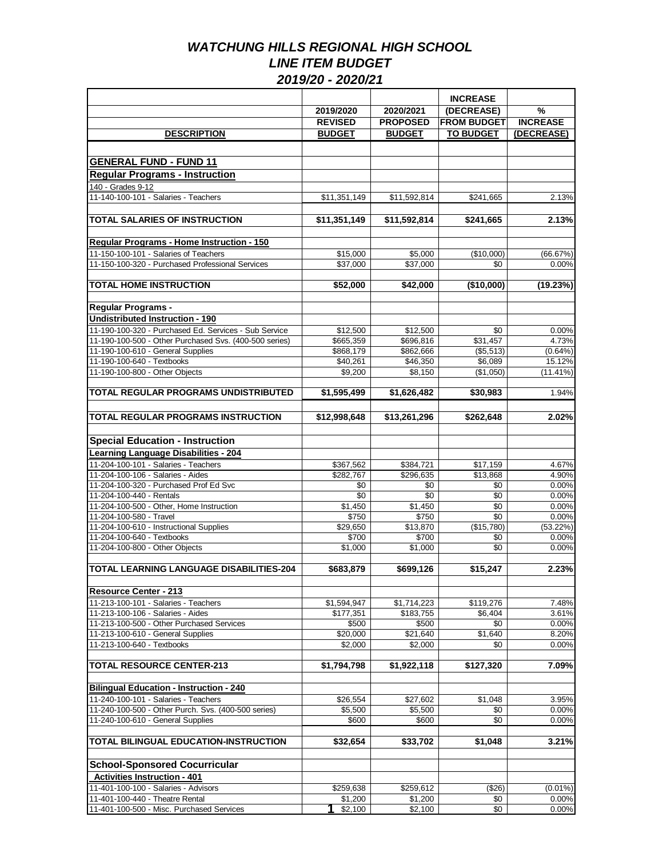|                                                                                |                        |                        | <b>INCREASE</b>       |                 |
|--------------------------------------------------------------------------------|------------------------|------------------------|-----------------------|-----------------|
|                                                                                | 2019/2020              | 2020/2021              | (DECREASE)            | %               |
|                                                                                | <b>REVISED</b>         | <b>PROPOSED</b>        | <b>FROM BUDGET</b>    | <b>INCREASE</b> |
| <b>DESCRIPTION</b>                                                             | <b>BUDGET</b>          | <b>BUDGET</b>          | <b>TO BUDGET</b>      | (DECREASE)      |
|                                                                                |                        |                        |                       |                 |
| <b>GENERAL FUND - FUND 11</b>                                                  |                        |                        |                       |                 |
| <b>Regular Programs - Instruction</b>                                          |                        |                        |                       |                 |
|                                                                                |                        |                        |                       |                 |
| 140 - Grades 9-12<br>11-140-100-101 - Salaries - Teachers                      | \$11,351,149           | \$11,592,814           | \$241,665             |                 |
|                                                                                |                        |                        |                       | 2.13%           |
| <b>TOTAL SALARIES OF INSTRUCTION</b>                                           | \$11,351,149           | \$11,592,814           | \$241,665             | 2.13%           |
|                                                                                |                        |                        |                       |                 |
| <b>Regular Programs - Home Instruction - 150</b>                               |                        |                        |                       |                 |
| 11-150-100-101 - Salaries of Teachers                                          | \$15,000               | \$5,000                | (\$10,000)            | (66.67%)        |
| 11-150-100-320 - Purchased Professional Services                               | \$37,000               | \$37,000               | \$0                   | 0.00%           |
|                                                                                |                        |                        |                       |                 |
| <b>TOTAL HOME INSTRUCTION</b>                                                  | \$52,000               | \$42,000               | (\$10,000)            | (19.23%)        |
|                                                                                |                        |                        |                       |                 |
| <b>Regular Programs -</b><br><b>Undistributed Instruction - 190</b>            |                        |                        |                       |                 |
| 11-190-100-320 - Purchased Ed. Services - Sub Service                          | \$12.500               |                        |                       |                 |
| 11-190-100-500 - Other Purchased Svs. (400-500 series)                         |                        | \$12,500               | \$0                   | 0.00%<br>4.73%  |
| 11-190-100-610 - General Supplies                                              | \$665,359<br>\$868,179 | \$696,816<br>\$862,666 | \$31,457<br>(\$5,513) | $(0.64\%)$      |
| 11-190-100-640 - Textbooks                                                     | \$40,261               | \$46,350               | \$6,089               | 15.12%          |
| 11-190-100-800 - Other Objects                                                 | \$9,200                | \$8,150                | (\$1,050)             | (11.41%)        |
|                                                                                |                        |                        |                       |                 |
| TOTAL REGULAR PROGRAMS UNDISTRIBUTED                                           | \$1,595,499            | \$1,626,482            | \$30,983              | 1.94%           |
|                                                                                |                        |                        |                       |                 |
| <b>TOTAL REGULAR PROGRAMS INSTRUCTION</b>                                      | \$12,998,648           | \$13,261,296           | \$262,648             | 2.02%           |
|                                                                                |                        |                        |                       |                 |
| <b>Special Education - Instruction</b>                                         |                        |                        |                       |                 |
| <b>Learning Language Disabilities - 204</b>                                    |                        |                        |                       |                 |
| 11-204-100-101 - Salaries - Teachers                                           | \$367,562              | \$384,721              | \$17,159              | 4.67%           |
| 11-204-100-106 - Salaries - Aides                                              | \$282,767              | \$296,635              | \$13,868              | 4.90%           |
| 11-204-100-320 - Purchased Prof Ed Svc                                         | \$0                    | \$0                    | \$0                   | 0.00%           |
| 11-204-100-440 - Rentals<br>11-204-100-500 - Other, Home Instruction           | \$0                    | \$0                    | \$0<br>\$0            | 0.00%           |
| 11-204-100-580 - Travel                                                        | \$1,450<br>\$750       | \$1,450<br>\$750       | \$0                   | 0.00%<br>0.00%  |
| 11-204-100-610 - Instructional Supplies                                        | \$29,650               | \$13,870               | (\$15,780)            | (53.22%)        |
| 11-204-100-640 - Textbooks                                                     | \$700                  | \$700                  | \$0                   | 0.00%           |
| 11-204-100-800 - Other Objects                                                 | \$1,000                | \$1,000                | \$0                   | 0.00%           |
|                                                                                |                        |                        |                       |                 |
| TOTAL LEARNING LANGUAGE DISABILITIES-204                                       | \$683,879              | \$699,126              | \$15,247              | 2.23%           |
|                                                                                |                        |                        |                       |                 |
| <b>Resource Center - 213</b>                                                   |                        |                        |                       |                 |
| 11-213-100-101 - Salaries - Teachers                                           | \$1,594,947            | \$1,714,223            | \$119.276             | 7.48%           |
| 11-213-100-106 - Salaries - Aides                                              | \$177,351              | \$183,755              | \$6,404               | 3.61%           |
| 11-213-100-500 - Other Purchased Services<br>11-213-100-610 - General Supplies | \$500<br>\$20,000      | \$500<br>\$21,640      | \$0<br>\$1,640        | 0.00%<br>8.20%  |
| 11-213-100-640 - Textbooks                                                     | \$2,000                | \$2,000                | \$0                   | 0.00%           |
|                                                                                |                        |                        |                       |                 |
| <b>TOTAL RESOURCE CENTER-213</b>                                               | \$1,794,798            | \$1,922,118            | \$127,320             | 7.09%           |
|                                                                                |                        |                        |                       |                 |
| <b>Bilingual Education - Instruction - 240</b>                                 |                        |                        |                       |                 |
| 11-240-100-101 - Salaries - Teachers                                           | \$26,554               | \$27,602               | \$1,048               | 3.95%           |
| 11-240-100-500 - Other Purch. Svs. (400-500 series)                            | \$5,500                | \$5,500                | \$0                   | 0.00%           |
| 11-240-100-610 - General Supplies                                              | \$600                  | \$600                  | \$0                   | 0.00%           |
| TOTAL BILINGUAL EDUCATION-INSTRUCTION                                          | \$32,654               | \$33,702               | \$1,048               | 3.21%           |
|                                                                                |                        |                        |                       |                 |
| <b>School-Sponsored Cocurricular</b>                                           |                        |                        |                       |                 |
| <b>Activities Instruction - 401</b>                                            |                        |                        |                       |                 |
| 11-401-100-100 - Salaries - Advisors                                           | \$259,638              | \$259,612              | (\$26)                | $(0.01\%)$      |
| 11-401-100-440 - Theatre Rental                                                | \$1,200                | $\sqrt{31,200}$        | \$0                   | 0.00%           |
| 11-401-100-500 - Misc. Purchased Services                                      | \$2,100                | \$2,100                | \$0                   | 0.00%           |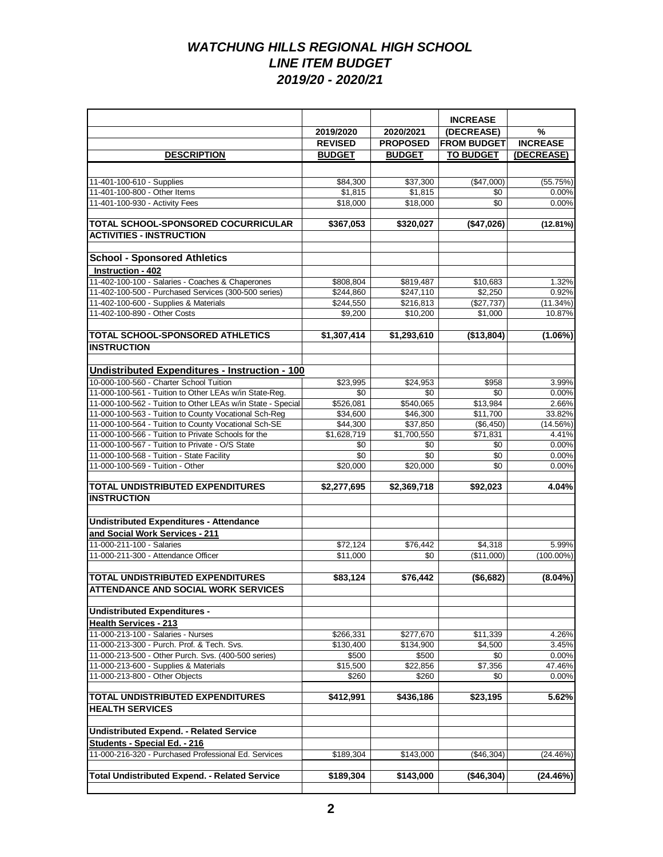|                                                                                                               |                      |                        | <b>INCREASE</b>       |                    |
|---------------------------------------------------------------------------------------------------------------|----------------------|------------------------|-----------------------|--------------------|
|                                                                                                               | 2019/2020            | 2020/2021              | (DECREASE)            | $\frac{9}{6}$      |
|                                                                                                               | <b>REVISED</b>       | <b>PROPOSED</b>        | <b>FROM BUDGET</b>    | <b>INCREASE</b>    |
| <b>DESCRIPTION</b>                                                                                            | <b>BUDGET</b>        | <b>BUDGET</b>          | <b>TO BUDGET</b>      | (DECREASE)         |
|                                                                                                               |                      |                        |                       |                    |
| 11-401-100-610 - Supplies                                                                                     | \$84.300             | \$37,300               | (\$47,000)            | (55.75%)           |
| 11-401-100-800 - Other Items                                                                                  | \$1,815              | \$1,815                | \$0                   | 0.00%              |
| 11-401-100-930 - Activity Fees                                                                                | \$18,000             | \$18,000               | \$0                   | 0.00%              |
|                                                                                                               |                      |                        |                       |                    |
| TOTAL SCHOOL-SPONSORED COCURRICULAR                                                                           | \$367,053            | \$320,027              | (\$47,026)            | (12.81%)           |
| <b>ACTIVITIES - INSTRUCTION</b>                                                                               |                      |                        |                       |                    |
|                                                                                                               |                      |                        |                       |                    |
| <b>School - Sponsored Athletics</b>                                                                           |                      |                        |                       |                    |
| Instruction - 402<br>11-402-100-100 - Salaries - Coaches & Chaperones                                         | \$808,804            |                        |                       | 1.32%              |
| 11-402-100-500 - Purchased Services (300-500 series)                                                          | \$244,860            | \$819,487<br>\$247,110 | \$10,683<br>\$2,250   | 0.92%              |
| 11-402-100-600 - Supplies & Materials                                                                         | \$244,550            | \$216,813              | (\$27,737)            | (11.34%)           |
| 11-402-100-890 - Other Costs                                                                                  | \$9,200              | \$10,200               | \$1,000               | 10.87%             |
|                                                                                                               |                      |                        |                       |                    |
| <b>TOTAL SCHOOL-SPONSORED ATHLETICS</b>                                                                       | \$1,307,414          | \$1,293,610            | (\$13,804)            | $(1.06\%)$         |
| <b>INSTRUCTION</b>                                                                                            |                      |                        |                       |                    |
|                                                                                                               |                      |                        |                       |                    |
| Undistributed Expenditures - Instruction - 100                                                                |                      |                        |                       |                    |
| 10-000-100-560 - Charter School Tuition                                                                       | \$23.995             | \$24,953               | \$958                 | 3.99%              |
| 11-000-100-561 - Tuition to Other LEAs w/in State-Reg.                                                        | \$0                  | \$0                    | \$0                   | 0.00%              |
| 11-000-100-562 - Tuition to Other LEAs w/in State - Special                                                   | \$526,081            | \$540,065              | \$13,984              | 2.66%              |
| 11-000-100-563 - Tuition to County Vocational Sch-Reg<br>11-000-100-564 - Tuition to County Vocational Sch-SE | \$34,600<br>\$44,300 | \$46,300<br>\$37,850   | \$11,700<br>(\$6,450) | 33.82%<br>(14.56%) |
| 11-000-100-566 - Tuition to Private Schools for the                                                           | \$1,628,719          | \$1,700,550            | \$71,831              | 4.41%              |
| 11-000-100-567 - Tuition to Private - O/S State                                                               | \$0                  | \$0                    | \$0                   | 0.00%              |
| 11-000-100-568 - Tuition - State Facility                                                                     | \$0                  | \$0                    | \$0                   | 0.00%              |
| 11-000-100-569 - Tuition - Other                                                                              | \$20,000             | \$20,000               | \$0                   | 0.00%              |
|                                                                                                               |                      |                        |                       |                    |
| TOTAL UNDISTRIBUTED EXPENDITURES                                                                              | \$2,277,695          | \$2,369,718            | \$92,023              | 4.04%              |
| <b>INSTRUCTION</b>                                                                                            |                      |                        |                       |                    |
|                                                                                                               |                      |                        |                       |                    |
| <b>Undistributed Expenditures - Attendance</b>                                                                |                      |                        |                       |                    |
| and Social Work Services - 211                                                                                |                      |                        |                       |                    |
| 11-000-211-100 - Salaries                                                                                     | \$72,124             | \$76,442               | \$4,318               | 5.99%              |
| 11-000-211-300 - Attendance Officer                                                                           | \$11,000             | \$0                    | (\$11,000)            | $(100.00\%)$       |
| <b>TOTAL UNDISTRIBUTED EXPENDITURES</b>                                                                       | \$83,124             | \$76,442               | (\$6,682)             | $(8.04\%)$         |
| <b>ATTENDANCE AND SOCIAL WORK SERVICES</b>                                                                    |                      |                        |                       |                    |
|                                                                                                               |                      |                        |                       |                    |
| <b>Undistributed Expenditures -</b>                                                                           |                      |                        |                       |                    |
| <b>Health Services - 213</b>                                                                                  |                      |                        |                       |                    |
| 11-000-213-100 - Salaries - Nurses                                                                            | \$266,331            | \$277,670              | \$11,339              | 4.26%              |
| 11-000-213-300 - Purch, Prof. & Tech, Svs.                                                                    | \$130,400            | \$134,900              | \$4,500               | 3.45%              |
| 11-000-213-500 - Other Purch. Svs. (400-500 series)                                                           | \$500                | \$500                  | \$0                   | 0.00%              |
| 11-000-213-600 - Supplies & Materials                                                                         | \$15,500             | \$22,856               | \$7,356               | 47.46%             |
| 11-000-213-800 - Other Objects                                                                                | \$260                | \$260                  | \$0                   | 0.00%              |
| <b>TOTAL UNDISTRIBUTED EXPENDITURES</b>                                                                       | \$412,991            | \$436,186              | \$23,195              | 5.62%              |
| <b>HEALTH SERVICES</b>                                                                                        |                      |                        |                       |                    |
|                                                                                                               |                      |                        |                       |                    |
| <b>Undistributed Expend. - Related Service</b>                                                                |                      |                        |                       |                    |
| Students - Special Ed. - 216                                                                                  |                      |                        |                       |                    |
| 11-000-216-320 - Purchased Professional Ed. Services                                                          | \$189,304            | \$143,000              | (\$46,304)            | (24.46%)           |
|                                                                                                               |                      |                        |                       |                    |
| <b>Total Undistributed Expend. - Related Service</b>                                                          | \$189,304            | \$143,000              | (\$46,304)            | (24.46%)           |
|                                                                                                               |                      |                        |                       |                    |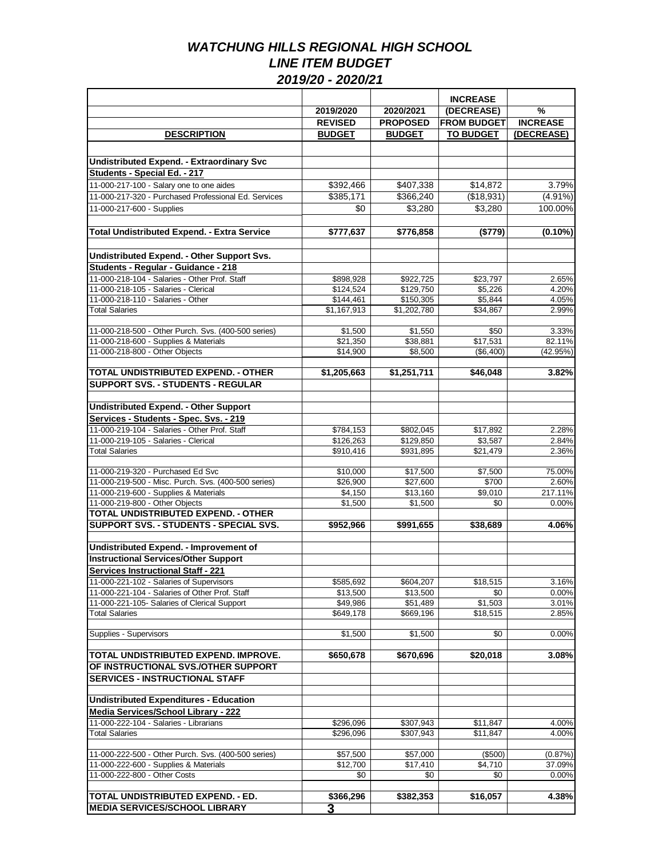|                                                               |                         |                        | <b>INCREASE</b>     |                 |
|---------------------------------------------------------------|-------------------------|------------------------|---------------------|-----------------|
|                                                               | 2019/2020               | 2020/2021              | (DECREASE)          | $\frac{9}{6}$   |
|                                                               | <b>REVISED</b>          | <b>PROPOSED</b>        | <b>FROM BUDGET</b>  | <b>INCREASE</b> |
| <b>DESCRIPTION</b>                                            | <b>BUDGET</b>           | <b>BUDGET</b>          | <b>TO BUDGET</b>    | (DECREASE)      |
|                                                               |                         |                        |                     |                 |
| <b>Undistributed Expend. - Extraordinary Svc</b>              |                         |                        |                     |                 |
| Students - Special Ed. - 217                                  |                         |                        |                     |                 |
| 11-000-217-100 - Salary one to one aides                      | \$392,466               | \$407,338              | \$14,872            | 3.79%           |
| 11-000-217-320 - Purchased Professional Ed. Services          | \$385,171               | \$366,240              | (\$18,931)          | $(4.91\%)$      |
| 11-000-217-600 - Supplies                                     | \$0                     | \$3,280                | \$3,280             | 100.00%         |
|                                                               |                         |                        |                     |                 |
| <b>Total Undistributed Expend. - Extra Service</b>            | \$777,637               | \$776,858              | (\$779)             | $(0.10\%)$      |
|                                                               |                         |                        |                     |                 |
| Undistributed Expend. - Other Support Svs.                    |                         |                        |                     |                 |
| Students - Regular - Guidance - 218                           |                         |                        |                     |                 |
| 11-000-218-104 - Salaries - Other Prof. Staff                 | \$898,928               | \$922,725              | \$23,797            | 2.65%           |
| 11-000-218-105 - Salaries - Clerical                          | \$124,524               | \$129,750              | \$5,226             | 4.20%           |
| 11-000-218-110 - Salaries - Other                             | \$144,461               | \$150,305              | \$5,844             | 4.05%           |
| <b>Total Salaries</b>                                         | \$1,167,913             | \$1,202,780            | \$34,867            | 2.99%           |
|                                                               |                         |                        |                     |                 |
| 11-000-218-500 - Other Purch. Svs. (400-500 series)           | \$1,500                 | \$1,550                | \$50                | 3.33%           |
| 11-000-218-600 - Supplies & Materials                         | \$21,350                | \$38,881               | \$17,531            | 82.11%          |
| 11-000-218-800 - Other Objects                                | \$14,900                | \$8,500                | ( \$6,400)          | (42.95%)        |
|                                                               |                         |                        |                     |                 |
| TOTAL UNDISTRIBUTED EXPEND. - OTHER                           | \$1,205,663             | \$1,251,711            | \$46,048            | 3.82%           |
| <b>SUPPORT SVS. - STUDENTS - REGULAR</b>                      |                         |                        |                     |                 |
| <b>Undistributed Expend. - Other Support</b>                  |                         |                        |                     |                 |
|                                                               |                         |                        |                     |                 |
| Services - Students - Spec. Svs. - 219                        |                         |                        |                     |                 |
| 11-000-219-104 - Salaries - Other Prof. Staff                 | \$784,153               | \$802,045              | \$17,892            | 2.28%           |
| 11-000-219-105 - Salaries - Clerical<br><b>Total Salaries</b> | \$126,263<br>\$910,416  | \$129,850<br>\$931,895 | \$3,587<br>\$21,479 | 2.84%<br>2.36%  |
|                                                               |                         |                        |                     |                 |
| 11-000-219-320 - Purchased Ed Svc                             | \$10,000                | \$17,500               | \$7,500             | 75.00%          |
| 11-000-219-500 - Misc. Purch. Svs. (400-500 series)           | \$26,900                | \$27,600               | \$700               | 2.60%           |
| 11-000-219-600 - Supplies & Materials                         | \$4,150                 | \$13,160               | \$9,010             | 217.11%         |
| 11-000-219-800 - Other Objects                                | \$1,500                 | \$1,500                | \$0                 | 0.00%           |
| TOTAL UNDISTRIBUTED EXPEND. - OTHER                           |                         |                        |                     |                 |
| <b>SUPPORT SVS. - STUDENTS - SPECIAL SVS.</b>                 | \$952,966               | \$991,655              | \$38,689            | 4.06%           |
|                                                               |                         |                        |                     |                 |
| Undistributed Expend. - Improvement of                        |                         |                        |                     |                 |
| <b>Instructional Services/Other Support</b>                   |                         |                        |                     |                 |
| <b>Services Instructional Staff - 221</b>                     |                         |                        |                     |                 |
| 11-000-221-102 - Salaries of Supervisors                      | \$585,692               | \$604,207              | \$18,515            | 3.16%           |
| 11-000-221-104 - Salaries of Other Prof. Staff                | \$13,500                | \$13,500               | \$0                 | 0.00%           |
| 11-000-221-105- Salaries of Clerical Support                  | \$49,986                | \$51,489               | \$1,503             | 3.01%           |
| <b>Total Salaries</b>                                         | \$649,178               | \$669,196              | \$18,515            | 2.85%           |
|                                                               |                         |                        |                     |                 |
| Supplies - Supervisors                                        | \$1,500                 | \$1,500                | \$0                 | 0.00%           |
| TOTAL UNDISTRIBUTED EXPEND. IMPROVE.                          | \$650,678               | \$670,696              | \$20,018            | 3.08%           |
| OF INSTRUCTIONAL SVS./OTHER SUPPORT                           |                         |                        |                     |                 |
| <b>SERVICES - INSTRUCTIONAL STAFF</b>                         |                         |                        |                     |                 |
|                                                               |                         |                        |                     |                 |
| <b>Undistributed Expenditures - Education</b>                 |                         |                        |                     |                 |
| <b>Media Services/School Library - 222</b>                    |                         |                        |                     |                 |
| 11-000-222-104 - Salaries - Librarians                        | \$296,096               | \$307,943              | \$11,847            | 4.00%           |
| <b>Total Salaries</b>                                         | \$296,096               | \$307,943              | \$11,847            | 4.00%           |
|                                                               |                         |                        |                     |                 |
| 11-000-222-500 - Other Purch. Svs. (400-500 series)           | \$57,500                | \$57,000               | (\$500)             | (0.87%)         |
| 11-000-222-600 - Supplies & Materials                         | \$12,700                | \$17,410               | \$4,710             | 37.09%          |
| 11-000-222-800 - Other Costs                                  | \$0                     | \$0                    | \$0                 | 0.00%           |
|                                                               |                         |                        |                     |                 |
| TOTAL UNDISTRIBUTED EXPEND. - ED.                             | \$366,296               | \$382,353              | \$16,057            | 4.38%           |
| <b>MEDIA SERVICES/SCHOOL LIBRARY</b>                          | $\overline{\mathbf{3}}$ |                        |                     |                 |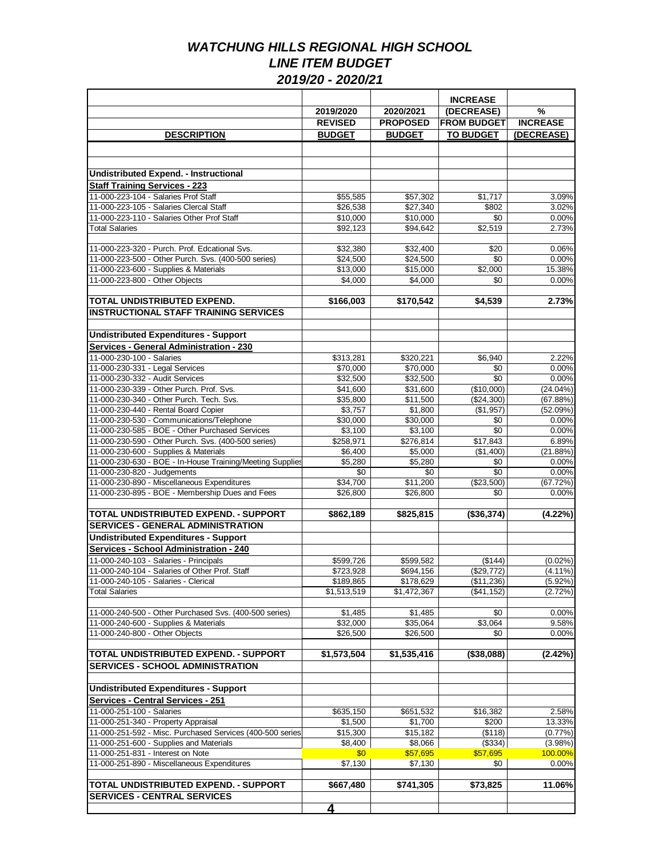|                                                                                              |                                     |                     | <b>INCREASE</b>       |                   |
|----------------------------------------------------------------------------------------------|-------------------------------------|---------------------|-----------------------|-------------------|
|                                                                                              | 2019/2020                           | 2020/2021           | (DECREASE)            | $\frac{9}{6}$     |
|                                                                                              | <b>REVISED</b>                      | <b>PROPOSED</b>     | <b>FROM BUDGET</b>    | <b>INCREASE</b>   |
| <b>DESCRIPTION</b>                                                                           | <b>BUDGET</b>                       | <b>BUDGET</b>       | <b>TO BUDGET</b>      | (DECREASE)        |
|                                                                                              |                                     |                     |                       |                   |
|                                                                                              |                                     |                     |                       |                   |
| <b>Undistributed Expend. - Instructional</b>                                                 |                                     |                     |                       |                   |
| <b>Staff Training Services - 223</b>                                                         |                                     |                     |                       |                   |
| 11-000-223-104 - Salaries Prof Staff                                                         | \$55,585                            | \$57,302            | \$1,717               | 3.09%             |
| 11-000-223-105 - Salaries Clercal Staff                                                      | \$26.538                            | \$27,340            | \$802                 | 3.02%             |
| 11-000-223-110 - Salaries Other Prof Staff                                                   | \$10,000                            | \$10,000            | \$0                   | 0.00%             |
| <b>Total Salaries</b>                                                                        | \$92,123                            | \$94,642            | \$2,519               | 2.73%             |
|                                                                                              |                                     |                     |                       |                   |
| 11-000-223-320 - Purch. Prof. Edcational Svs.                                                | \$32,380                            | \$32,400            | \$20                  | 0.06%             |
| 11-000-223-500 - Other Purch. Svs. (400-500 series)                                          | \$24,500                            | \$24,500            | \$0                   | 0.00%             |
| 11-000-223-600 - Supplies & Materials                                                        | \$13,000                            | \$15,000            | \$2,000               | 15.38%            |
| 11-000-223-800 - Other Objects                                                               | \$4,000                             | \$4,000             | \$0                   | 0.00%             |
| TOTAL UNDISTRIBUTED EXPEND.                                                                  | \$166,003                           | \$170,542           | \$4,539               | 2.73%             |
| <b>INSTRUCTIONAL STAFF TRAINING SERVICES</b>                                                 |                                     |                     |                       |                   |
|                                                                                              |                                     |                     |                       |                   |
| <b>Undistributed Expenditures - Support</b>                                                  |                                     |                     |                       |                   |
| Services - General Administration - 230                                                      |                                     |                     |                       |                   |
| 11-000-230-100 - Salaries                                                                    | \$313,281                           | \$320,221           | \$6,940               | 2.22%             |
| 11-000-230-331 - Legal Services                                                              | \$70,000                            | \$70,000            | \$0                   | 0.00%             |
| 11-000-230-332 - Audit Services                                                              | \$32,500                            | \$32,500            | \$0                   | 0.00%             |
| 11-000-230-339 - Other Purch. Prof. Svs.                                                     | \$41,600                            | \$31,600            | (\$10,000)            | $(24.04\%)$       |
| 11-000-230-340 - Other Purch. Tech. Svs.                                                     | $\overline{$}35,800$                | \$11,500            | (\$24,300)            | (67.88%)          |
| 11-000-230-440 - Rental Board Copier                                                         | \$3,757                             | \$1,800             | (\$1,957)             | (52.09%)          |
| 11-000-230-530 - Communications/Telephone                                                    | \$30,000                            | \$30,000            | \$0                   | 0.00%             |
| 11-000-230-585 - BOE - Other Purchased Services                                              | \$3,100                             | \$3,100             | $\overline{30}$       | 0.00%             |
| 11-000-230-590 - Other Purch. Svs. (400-500 series)<br>11-000-230-600 - Supplies & Materials | \$258,971                           | \$276,814           | \$17,843<br>(\$1,400) | 6.89%             |
| 11-000-230-630 - BOE - In-House Training/Meeting Supplies                                    | \$6,400<br>\$5,280                  | \$5,000<br>\$5,280  | \$0                   | (21.88%)<br>0.00% |
| 11-000-230-820 - Judgements                                                                  | \$0                                 | \$0                 | \$0                   | 0.00%             |
| 11-000-230-890 - Miscellaneous Expenditures                                                  | \$34,700                            | \$11,200            | (\$23,500)            | (67.72%)          |
| 11-000-230-895 - BOE - Membership Dues and Fees                                              | \$26,800                            | \$26,800            | \$0                   | 0.00%             |
|                                                                                              |                                     |                     |                       |                   |
| TOTAL UNDISTRIBUTED EXPEND. - SUPPORT                                                        | \$862,189                           | \$825,815           | (\$36,374)            | (4.22%)           |
| <b>SERVICES - GENERAL ADMINISTRATION</b>                                                     |                                     |                     |                       |                   |
| <b>Undistributed Expenditures - Support</b>                                                  |                                     |                     |                       |                   |
| <b>Services - School Administration - 240</b>                                                |                                     |                     |                       |                   |
| 11-000-240-103 - Salaries - Principals                                                       | \$599,726                           | \$599,582           | (\$144)               | $(0.02\%)$        |
| 11-000-240-104 - Salaries of Other Prof. Staff                                               | \$723,928                           | \$694,156           | (\$29,772)            | $(4.11\%)$        |
| 11-000-240-105 - Salaries - Clerical<br><b>Total Salaries</b>                                | \$189,865<br>$\overline{1,513,519}$ | \$178,629           | (\$11,236)            | $(5.92\%)$        |
|                                                                                              |                                     | \$1,472,367         | (\$41,152)            | (2.72%)           |
| 11-000-240-500 - Other Purchased Svs. (400-500 series)                                       | \$1,485                             | \$1,485             | \$0                   | 0.00%             |
| 11-000-240-600 - Supplies & Materials                                                        | \$32,000                            | \$35,064            | \$3,064               | 9.58%             |
| 11-000-240-800 - Other Objects                                                               | \$26,500                            | \$26,500            | \$0                   | 0.00%             |
|                                                                                              |                                     |                     |                       |                   |
| TOTAL UNDISTRIBUTED EXPEND. - SUPPORT                                                        | \$1,573,504                         | \$1,535,416         | $($ \$38,088)         | (2.42%)           |
| <b>SERVICES - SCHOOL ADMINISTRATION</b>                                                      |                                     |                     |                       |                   |
|                                                                                              |                                     |                     |                       |                   |
| <b>Undistributed Expenditures - Support</b>                                                  |                                     |                     |                       |                   |
| <b>Services - Central Services - 251</b>                                                     |                                     |                     |                       |                   |
| 11-000-251-100 - Salaries                                                                    | \$635,150                           | \$651,532           | \$16,382              | 2.58%             |
| 11-000-251-340 - Property Appraisal                                                          | \$1,500                             | \$1,700             | \$200                 | 13.33%            |
| 11-000-251-592 - Misc. Purchased Services (400-500 series)                                   | \$15,300                            | \$15,182            | (\$118)               | $(0.77\%)$        |
| 11-000-251-600 - Supplies and Materials                                                      | \$8,400                             | \$8,066             | (\$334)               | (3.98%)           |
| 11-000-251-831 - Interest on Note<br>11-000-251-890 - Miscellaneous Expenditures             | \$0<br>\$7,130                      | \$57,695<br>\$7,130 | \$57,695<br>\$0       | 100.00%<br>0.00%  |
|                                                                                              |                                     |                     |                       |                   |
| TOTAL UNDISTRIBUTED EXPEND. - SUPPORT                                                        | \$667,480                           | \$741,305           | \$73,825              | 11.06%            |
| <b>SERVICES - CENTRAL SERVICES</b>                                                           |                                     |                     |                       |                   |
|                                                                                              | <u>4</u>                            |                     |                       |                   |
|                                                                                              |                                     |                     |                       |                   |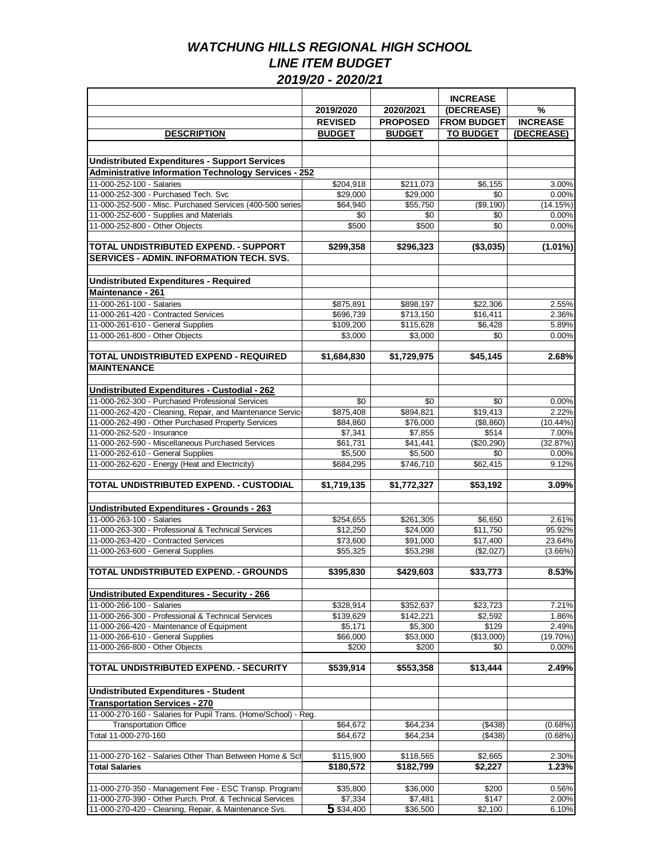|                                                                                                                    |                     |                     | <b>INCREASE</b>    |                 |
|--------------------------------------------------------------------------------------------------------------------|---------------------|---------------------|--------------------|-----------------|
|                                                                                                                    | 2019/2020           | 2020/2021           | (DECREASE)         | $\frac{9}{6}$   |
|                                                                                                                    | <b>REVISED</b>      | <b>PROPOSED</b>     | <b>FROM BUDGET</b> | <b>INCREASE</b> |
| <b>DESCRIPTION</b>                                                                                                 | <b>BUDGET</b>       | <b>BUDGET</b>       | <b>TO BUDGET</b>   | (DECREASE)      |
|                                                                                                                    |                     |                     |                    |                 |
|                                                                                                                    |                     |                     |                    |                 |
| <b>Undistributed Expenditures - Support Services</b>                                                               |                     |                     |                    |                 |
| <b>Administrative Information Technology Services - 252</b>                                                        |                     |                     |                    |                 |
| 11-000-252-100 - Salaries                                                                                          | \$204,918           | \$211,073           | \$6,155            | 3.00%           |
| 11-000-252-300 - Purchased Tech. Svc                                                                               | \$29,000            | \$29,000            | \$0                | 0.00%           |
| 11-000-252-500 - Misc. Purchased Services (400-500 series)                                                         | \$64,940            | \$55,750            | (\$9,190)          | (14.15%)        |
| 11-000-252-600 - Supplies and Materials                                                                            | \$0                 | \$0                 | \$0                | 0.00%           |
| 11-000-252-800 - Other Objects                                                                                     | \$500               | \$500               | \$0                | 0.00%           |
|                                                                                                                    |                     |                     |                    |                 |
| TOTAL UNDISTRIBUTED EXPEND. - SUPPORT                                                                              | \$299,358           | \$296,323           | (\$3,035)          | $(1.01\%)$      |
| <b>SERVICES - ADMIN. INFORMATION TECH. SVS.</b>                                                                    |                     |                     |                    |                 |
|                                                                                                                    |                     |                     |                    |                 |
| <b>Undistributed Expenditures - Required</b>                                                                       |                     |                     |                    |                 |
| Maintenance - 261                                                                                                  |                     |                     |                    |                 |
| 11-000-261-100 - Salaries                                                                                          | \$875,891           | \$898,197           | \$22,306           | 2.55%           |
| 11-000-261-420 - Contracted Services                                                                               | \$696,739           | \$713,150           | \$16,411           | 2.36%           |
|                                                                                                                    |                     |                     |                    | 5.89%           |
| 11-000-261-610 - General Supplies                                                                                  | \$109,200           | \$115,628           | \$6,428            |                 |
| 11-000-261-800 - Other Objects                                                                                     | \$3,000             | \$3.000             | \$0                | 0.00%           |
|                                                                                                                    |                     |                     |                    |                 |
| TOTAL UNDISTRIBUTED EXPEND - REQUIRED                                                                              | \$1,684,830         | \$1,729,975         | \$45,145           | 2.68%           |
| <b>MAINTENANCE</b>                                                                                                 |                     |                     |                    |                 |
|                                                                                                                    |                     |                     |                    |                 |
| Undistributed Expenditures - Custodial - 262                                                                       |                     |                     |                    |                 |
| 11-000-262-300 - Purchased Professional Services                                                                   | \$0                 | \$0                 | \$0                | 0.00%           |
| 11-000-262-420 - Cleaning, Repair, and Maintenance Service                                                         | \$875,408           | \$894,821           | \$19,413           | 2.22%           |
| 11-000-262-490 - Other Purchased Property Services                                                                 | \$84,860            | \$76,000            | (\$8,860)          | $(10.44\%)$     |
| 11-000-262-520 - Insurance                                                                                         | \$7,341             | \$7,855             | \$514              | 7.00%           |
| 11-000-262-590 - Miscellaneous Purchased Services                                                                  | \$61,731            | \$41,441            | (\$20,290)         | (32.87%)        |
| 11-000-262-610 - General Supplies                                                                                  | \$5,500             | \$5,500             | \$0                | 0.00%           |
| 11-000-262-620 - Energy (Heat and Electricity)                                                                     | \$684,295           | \$746,710           | \$62,415           | 9.12%           |
|                                                                                                                    |                     |                     |                    |                 |
| TOTAL UNDISTRIBUTED EXPEND. - CUSTODIAL                                                                            | \$1,719,135         | \$1,772,327         | \$53,192           | 3.09%           |
|                                                                                                                    |                     |                     |                    |                 |
| Undistributed Expenditures - Grounds - 263                                                                         |                     |                     |                    |                 |
| 11-000-263-100 - Salaries                                                                                          | \$254,655           | \$261,305           | \$6,650            | 2.61%           |
| 11-000-263-300 - Professional & Technical Services                                                                 | \$12,250            | \$24,000            | \$11,750           | 95.92%          |
| 11-000-263-420 - Contracted Services                                                                               | \$73,600            | \$91,000            | \$17,400           | 23.64%          |
| 11-000-263-600 - General Supplies                                                                                  | \$55,325            | \$53,298            | (\$2,027)          | $(3.66\%)$      |
|                                                                                                                    |                     |                     |                    |                 |
| TOTAL UNDISTRIBUTED EXPEND. - GROUNDS                                                                              | \$395,830           | \$429,603           | \$33,773           | 8.53%           |
|                                                                                                                    |                     |                     |                    |                 |
|                                                                                                                    |                     |                     |                    |                 |
| <b>Undistributed Expenditures - Security - 266</b>                                                                 |                     |                     |                    |                 |
| 11-000-266-100 - Salaries                                                                                          | \$328,914           | \$352,637           | \$23,723           | 7.21%           |
| 11-000-266-300 - Professional & Technical Services                                                                 | \$139,629           | \$142,221           | \$2,592            | 1.86%           |
| 11-000-266-420 - Maintenance of Equipment                                                                          | \$5,171             | \$5,300             | \$129              | 2.49%           |
| 11-000-266-610 - General Supplies                                                                                  | \$66,000            | \$53,000            | (\$13,000)         | $(19.70\%)$     |
| 11-000-266-800 - Other Objects                                                                                     | \$200               | \$200               | \$0                | 0.00%           |
|                                                                                                                    |                     |                     |                    |                 |
| TOTAL UNDISTRIBUTED EXPEND. - SECURITY                                                                             | \$539,914           | \$553,358           | \$13,444           | 2.49%           |
|                                                                                                                    |                     |                     |                    |                 |
| <b>Undistributed Expenditures - Student</b>                                                                        |                     |                     |                    |                 |
| <b>Transportation Services - 270</b>                                                                               |                     |                     |                    |                 |
| 11-000-270-160 - Salaries for Pupil Trans. (Home/School) - Reg.                                                    |                     |                     |                    |                 |
| <b>Transportation Office</b>                                                                                       | \$64,672            | \$64,234            | (\$438)            | (0.68%)         |
| Total 11-000-270-160                                                                                               | \$64,672            | \$64,234            | (\$438)            | (0.68%)         |
|                                                                                                                    |                     |                     |                    |                 |
| 11-000-270-162 - Salaries Other Than Between Home & Sch                                                            | \$115,900           | \$118,565           | \$2,665            | 2.30%           |
| <b>Total Salaries</b>                                                                                              | \$180,572           | \$182,799           | \$2,227            | 1.23%           |
|                                                                                                                    |                     |                     |                    |                 |
|                                                                                                                    |                     |                     |                    |                 |
| 11-000-270-350 - Management Fee - ESC Transp. Programs<br>11-000-270-390 - Other Purch. Prof. & Technical Services | \$35,800<br>\$7,334 | \$36,000<br>\$7,481 | \$200<br>\$147     | 0.56%<br>2.00%  |
|                                                                                                                    |                     |                     |                    |                 |
| 11-000-270-420 - Cleaning, Repair, & Maintenance Svs.                                                              | 5 \$34,400          | \$36,500            | \$2,100            | 6.10%           |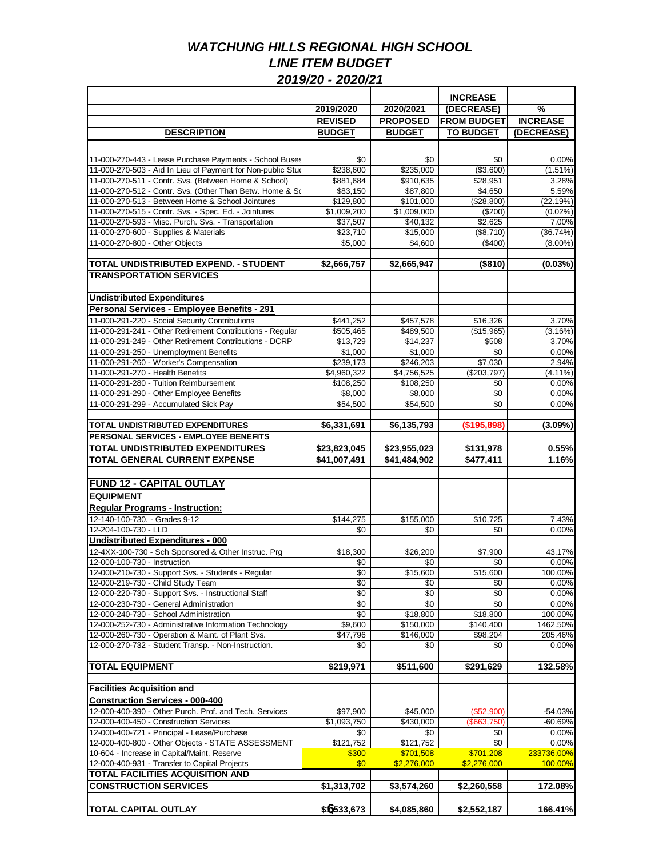|                                                                                  |                        |                        | <b>INCREASE</b>        |                  |
|----------------------------------------------------------------------------------|------------------------|------------------------|------------------------|------------------|
|                                                                                  | 2019/2020              | 2020/2021              | (DECREASE)             | $\frac{9}{6}$    |
|                                                                                  | <b>REVISED</b>         | <b>PROPOSED</b>        | <b>FROM BUDGET</b>     | <b>INCREASE</b>  |
| <b>DESCRIPTION</b>                                                               | <b>BUDGET</b>          | <b>BUDGET</b>          | <b>TO BUDGET</b>       | (DECREASE)       |
|                                                                                  |                        |                        |                        |                  |
| 11-000-270-443 - Lease Purchase Payments - School Buses                          | \$0                    | \$0                    | \$0                    | 0.00%            |
| 11-000-270-503 - Aid In Lieu of Payment for Non-public Stud                      | \$238,600              | \$235,000              | (\$3,600)              | $(1.51\%)$       |
| 11-000-270-511 - Contr. Svs. (Between Home & School)                             | \$881,684              | \$910,635              | \$28,951               | 3.28%            |
| 11-000-270-512 - Contr. Svs. (Other Than Betw. Home & Sd                         | \$83,150               | \$87,800               | \$4,650                | 5.59%            |
| 11-000-270-513 - Between Home & School Jointures                                 | \$129,800              | \$101,000              | (\$28,800)             | (22.19%)         |
| 11-000-270-515 - Contr. Svs. - Spec. Ed. - Jointures                             | \$1,009,200            | \$1,009,000            | (\$200)                | (0.02%           |
| 11-000-270-593 - Misc. Purch. Svs. - Transportation                              | \$37,507               | \$40,132               | \$2,625                | 7.00%            |
| 11-000-270-600 - Supplies & Materials                                            | \$23,710               | \$15,000               | (\$8.710)              | (36.74%)         |
| 11-000-270-800 - Other Objects                                                   | \$5,000                | \$4,600                | (\$400)                | $(8.00\%)$       |
| TOTAL UNDISTRIBUTED EXPEND. - STUDENT                                            | \$2,666,757            | \$2,665,947            | (\$810)                | (0.03%)          |
| <b>TRANSPORTATION SERVICES</b>                                                   |                        |                        |                        |                  |
|                                                                                  |                        |                        |                        |                  |
| <b>Undistributed Expenditures</b><br>Personal Services - Employee Benefits - 291 |                        |                        |                        |                  |
| 11-000-291-220 - Social Security Contributions                                   |                        |                        |                        |                  |
| 11-000-291-241 - Other Retirement Contributions - Regular                        | \$441,252<br>\$505,465 | \$457,578<br>\$489,500 | \$16,326<br>(\$15,965) | 3.70%<br>(3.16%) |
| 11-000-291-249 - Other Retirement Contributions - DCRP                           | \$13,729               | \$14,237               | \$508                  | 3.70%            |
| 11-000-291-250 - Unemployment Benefits                                           | \$1,000                | \$1,000                | \$0                    | 0.00%            |
| 11-000-291-260 - Worker's Compensation                                           | \$239,173              | \$246,203              | \$7,030                | 2.94%            |
| 11-000-291-270 - Health Benefits                                                 | \$4,960,322            | \$4,756,525            | (\$203,797)            | $(4.11\%)$       |
| 11-000-291-280 - Tuition Reimbursement                                           | \$108,250              | \$108,250              | \$0                    | 0.00%            |
| 11-000-291-290 - Other Employee Benefits                                         | \$8,000                | \$8,000                | \$0                    | 0.00%            |
| 11-000-291-299 - Accumulated Sick Pay                                            | \$54,500               | \$54,500               | \$0                    | 0.00%            |
|                                                                                  |                        |                        |                        |                  |
| TOTAL UNDISTRIBUTED EXPENDITURES                                                 | \$6,331,691            | \$6,135,793            | (\$195,898)            | $(3.09\%)$       |
| PERSONAL SERVICES - EMPLOYEE BENEFITS                                            |                        |                        |                        |                  |
| TOTAL UNDISTRIBUTED EXPENDITURES                                                 | \$23,823,045           | \$23,955,023           | \$131,978              | 0.55%            |
| <b>TOTAL GENERAL CURRENT EXPENSE</b>                                             | \$41,007,491           | \$41,484,902           | \$477,411              | 1.16%            |
| <b>FUND 12 - CAPITAL OUTLAY</b>                                                  |                        |                        |                        |                  |
| <b>EQUIPMENT</b>                                                                 |                        |                        |                        |                  |
| <b>Regular Programs - Instruction:</b>                                           |                        |                        |                        |                  |
| 12-140-100-730. - Grades 9-12                                                    | \$144,275              | \$155,000              | \$10,725               | 7.43%            |
| 12-204-100-730 - LLD                                                             | \$0                    | \$0                    | \$0                    | 0.00%            |
| <b>Undistributed Expenditures - 000</b>                                          |                        |                        |                        |                  |
| 12-4XX-100-730 - Sch Sponsored & Other Instruc. Prg                              | \$18,300               | \$26,200               | \$7,900                | 43.17%           |
| 12-000-100-730 - Instruction                                                     | \$0                    | \$0                    | \$0                    | 0.00%            |
| 12-000-210-730 - Support Svs. - Students - Regular                               | \$0                    | \$15,600               | \$15,600               | 100.00%          |
| 12-000-219-730 - Child Study Team                                                | \$0                    | \$0                    | \$0                    | 0.00%            |
| 12-000-220-730 - Support Svs. - Instructional Staff                              | \$0                    | \$0                    | \$0                    | 0.00%            |
| 12-000-230-730 - General Administration                                          | $\overline{50}$        | \$0                    | \$0                    | 0.00%            |
| 12-000-240-730 - School Administration                                           | \$0                    | \$18,800               | \$18,800               | 100.00%          |
| 12-000-252-730 - Administrative Information Technology                           | \$9,600                | \$150,000              | \$140,400              | 1462.50%         |
| 12-000-260-730 - Operation & Maint. of Plant Svs.                                | \$47,796               | \$146,000              | \$98,204               | 205.46%          |
| 12-000-270-732 - Student Transp. - Non-Instruction.                              | \$0                    | \$0                    | \$0                    | 0.00%            |
| <b>TOTAL EQUIPMENT</b>                                                           | \$219,971              | \$511,600              | \$291,629              | 132.58%          |
|                                                                                  |                        |                        |                        |                  |
| <b>Facilities Acquisition and</b>                                                |                        |                        |                        |                  |
| <b>Construction Services - 000-400</b>                                           |                        |                        |                        |                  |
| 12-000-400-390 - Other Purch. Prof. and Tech. Services                           | \$97,900               | \$45,000               | (\$52,900)             | $-54.03%$        |
| 12-000-400-450 - Construction Services                                           | \$1,093,750            | \$430,000              | (\$663,750)            | $-60.69%$        |
| 12-000-400-721 - Principal - Lease/Purchase                                      | \$0                    | \$0                    | \$0                    | 0.00%            |
| 12-000-400-800 - Other Objects - STATE ASSESSMENT                                | \$121,752              | \$121,752              | \$0                    | 0.00%            |
| 10-604 - Increase in Capital/Maint. Reserve                                      | \$300                  | \$701,508              | \$701,208              | 233736.00%       |
| 12-000-400-931 - Transfer to Capital Projects                                    | \$0                    | \$2,276,000            | \$2,276,000            | 100.00%          |
| <b>TOTAL FACILITIES ACQUISITION AND</b><br><b>CONSTRUCTION SERVICES</b>          |                        |                        |                        |                  |
|                                                                                  | \$1,313,702            | \$3,574,260            | \$2,260,558            | 172.08%          |
| <b>TOTAL CAPITAL OUTLAY</b>                                                      | \$6533,673             | \$4,085,860            | \$2,552,187            | 166.41%          |
|                                                                                  |                        |                        |                        |                  |